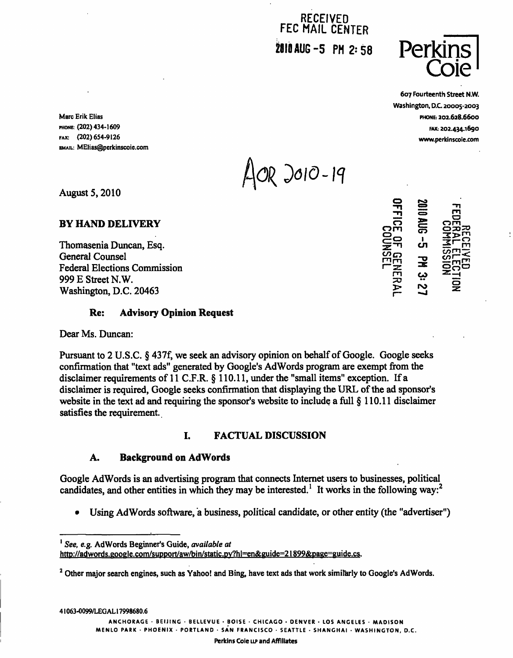RECEIVED FEC MAIL CENTER  $2010$  AUG-5 PM 2:58 **Persi** 



607 Fourteenth Street N.W. Washington, D.C. 20005-2003

 $\frac{1}{20}$ 

| om

 $\vec{r}$  on  $\frac{2}{2}$   $\vec{r}$   $\frac{m}{2}$ 

Marc Erik Elias **PHONE: 202.628.6600** PHONE: (202) 434-1609 FAX: 202.434.1690 FAX: (202)654-9126 www.perkinscoie.com EMAIL: MEIias@perkinscoie.com

 $10R$  2010-19

August 5,2010

BY HAND DELIVERY

Thomasenia Duncan, Esq. General Counsel<br>
Federal Elections Commission<br>
999 E Street N.W. Federal Elections Commission <sup>r</sup>"= ""\* ~ 999 E Street N.W. Washington, D.C. 20463 ^ 2

### Re: Advisory Opinion Request

Dear Ms. Duncan:

Pursuant to 2 U.S.C. § 437f, we seek an advisory opinion on behalf of Google. Google seeks confirmation that "text ads" generated by Google's AdWords program are exempt from the disclaimer requirements of 11 C.F.R. § 110.11, under the "small items" exception. If a disclaimer is required, Google seeks confirmation that displaying the URL of the ad sponsor's website in the text ad and requiring the sponsor's website to include a full § 110.11 disclaimer satisfies the requirement.

## I. FACTUAL DISCUSSION

### A. Background on AdWords

Google AdWords is an advertising program that connects Internet users to businesses, political candidates, and other entities in which they may be interested.<sup>1</sup> It works in the following way:<sup>2</sup>

Using AdWords software, a business, political candidate, or other entity (the "advertiser")

<sup>2</sup> Other major search engines, such as Yahoo! and Bing, have text ads that work similarly to Google's AdWords.

ANCHORAGE • BEIJING • BELLEVUE • BOISE • CHICAGO • DENVER • LOS ANGELES • MADISON

MENLO PARK • PHOENIX • PORTLAND • SAN FRANCISCO • SEATTLE • SHANGHAI • WASHINGTON, D.C.

Perkins Coie LLP and Affiliates

<sup>&</sup>lt;sup>1</sup> See, e.g. AdWords Beginner's Guide, available at http://adwords.google.com/support/aw/bin/static.py?hl=en&guide=21899&page=guide.cs.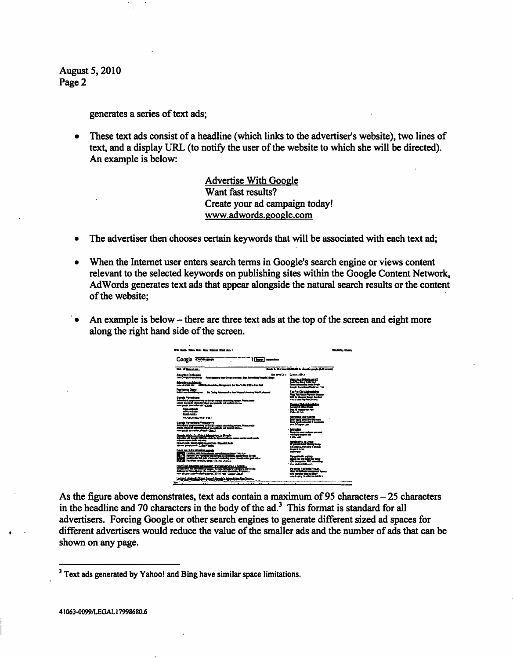generates a series of text ads;

• These text ads consist of a headline (which links to the advertiser's website), two lines of text, and a display URL (to notify the user of the website to which she will be directed). An example is below:

> Advertise With Google Want fast results? Create your ad campaign today! www.adwords.google.com

- The advertiser then chooses certain keywords that will be associated with each text ad;
- When the Internet user enters search terms in Google's search engine or views content relevant to the selected keywords on publishing sites within the Google Content Network, AdWords generates text ads that appear alongside the natural search results or the content of the website;
- An example is below there are three text ads at the top of the screen and eight more along the right hand side of the screen.



As the figure above demonstrates, text ads contain a maximum of 95 characters  $-25$  characters in the headline and 70 characters in the body of the  $ad<sup>3</sup>$ . This format is standard for all advertisers. Forcing Google or other search engines to generate different sized ad spaces for different advertisers would reduce the value of the smaller ads and the number of ads that can be shown on any page.

<sup>&</sup>lt;sup>3</sup> Text ads generated by Yahoo! and Bing have similar space limitations.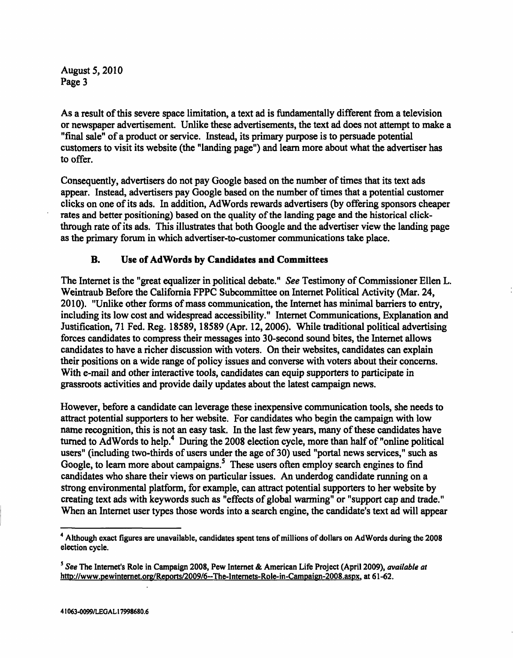As a result of this severe space limitation, a text ad is fundamentally different from a television or newspaper advertisement. Unlike these advertisements, the text ad does not attempt to make a "final sale" of a product or service. Instead, its primary purpose is to persuade potential customers to visit its website (the "landing page") and learn more about what the advertiser has to offer.

Consequently, advertisers do not pay Google based on the number of times that its text ads appear. Instead, advertisers pay Google based on the number of times that a potential customer clicks on one of its ads. In addition, AdWords rewards advertisers (by offering sponsors cheaper rates and better positioning) based on the quality of the landing page and the historical clickthrough rate of its ads. This illustrates that both Google and the advertiser view the landing page as the primary forum in which advertiser-to-customer communications take place.

## B. Use of AdWords by Candidates and Committees

The Internet is the "great equalizer in political debate." See Testimony of Commissioner Ellen L. Weintraub Before the California FPPC Subcommittee on Internet Political Activity (Mar. 24, 2010). "Unlike other forms of mass communication, the Internet has minimal barriers to entry, including its low cost and widespread accessibility." Internet Communications, Explanation and Justification, 71 Fed. Reg. 18589, 18589 (Apr. 12, 2006). While traditional political advertising forces candidates to compress their messages into 30-second sound bites, the Internet allows candidates to have a richer discussion with voters. On their websites, candidates can explain their positions on a wide range of policy issues and converse with voters about their concerns. With e-mail and other interactive tools, candidates can equip supporters to participate in grassroots activities and provide daily updates about the latest campaign news.

However, before a candidate can leverage these inexpensive communication tools, she needs to attract potential supporters to her website. For candidates who begin the campaign with low name recognition, this is not an easy task. In the last few years, many of these candidates have turned to AdWords to help.<sup>4</sup> During the 2008 election cycle, more than half of "online political users" (including two-thirds of users under the age of 30) used "portal news services," such as Google, to learn more about campaigns.<sup>5</sup> These users often employ search engines to find candidates who share their views on particular issues. An underdog candidate running on a strong environmental platform, for example, can attract potential supporters to her website by creating text ads with keywords such as "effects of global warming" or "support cap and trade." When an Internet user types those words into a search engine, the candidate's text ad will appear

<sup>&</sup>lt;sup>4</sup> Although exact figures are unavailable, candidates spent tens of millions of dollars on AdWords during the 2008 election cycle.

<sup>&</sup>lt;sup>5</sup> See The Internet's Role in Campaign 2008, Pew Internet & American Life Project (April 2009), available at http://www.pewinternet.org/Reports/2009/6--The-Internets-Role-in-Campaign-2008.aspx, at 61-62.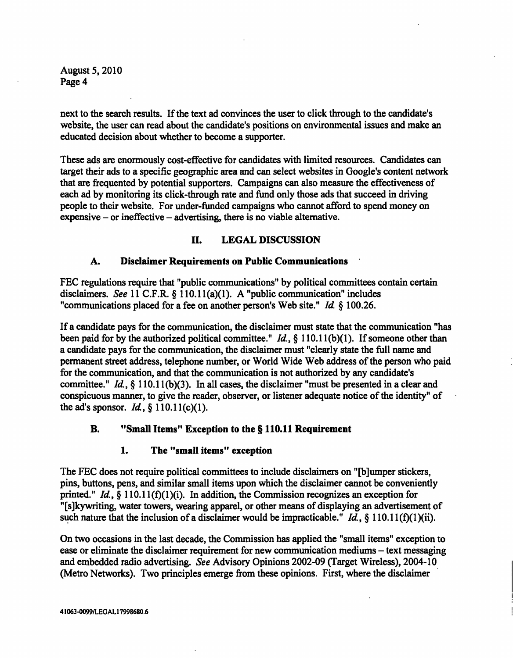next to the search results. If the text ad convinces the user to click through to the candidate's website, the user can read about the candidate's positions on environmental issues and make an educated decision about whether to become a supporter.

These ads are enormously cost-effective for candidates with limited resources. Candidates can target their ads to a specific geographic area and can select websites in Google's content network that are frequented by potential supporters. Campaigns can also measure the effectiveness of each ad by monitoring its click-through rate and fund only those ads that succeed in driving people to their website. For under-funded campaigns who cannot afford to spend money on  $expensive - or ineffective - advertising, there is no viable alternative.$ 

### II. LEGAL DISCUSSION

### A. Disclaimer Requirements on Public Communications

FEC regulations require that "public communications" by political committees contain certain disclaimers. See 11 C.F.R. § 110.11(a)(1). A "public communication" includes "communications placed for a fee on another person's Web site." Id. § 100.26.

If a candidate pays for the communication, the disclaimer must state that the communication "has been paid for by the authorized political committee."  $Id$ , § 110.11(b)(1). If someone other than a candidate pays for the communication, the disclaimer must "clearly state the full name and permanent street address, telephone number, or World Wide Web address of the person who paid for the communication, and that the communication is not authorized by any candidate's committee." Id.,  $\S$  110.11(b)(3). In all cases, the disclaimer "must be presented in a clear and conspicuous manner, to give the reader, observer, or listener adequate notice of the identity" of the ad's sponsor. Id.,  $\S 110.11(c)(1)$ .

### B. "Small Items" Exception to the § 110.11 Requirement

### 1. The "small items" exception

The FEC does not require political committees to include disclaimers on "[b]umper stickers, pins, buttons, pens, and similar small items upon which the disclaimer cannot be conveniently printed." Id., § 110.11(f)(1)(i). In addition, the Commission recognizes an exception for "[s]ky writing, water towers, wearing apparel, or other means of displaying an advertisement of such nature that the inclusion of a disclaimer would be impracticable." *Id.*, § 110.11(f)(1)(ii).

On two occasions in the last decade, the Commission has applied the "small items" exception to ease or eliminate the disclaimer requirement for new communication mediums – text messaging and embedded radio advertising. See Advisory Opinions 2002-09 (Target Wireless), 2004-10 (Metro Networks). Two principles emerge from these opinions. First, where the disclaimer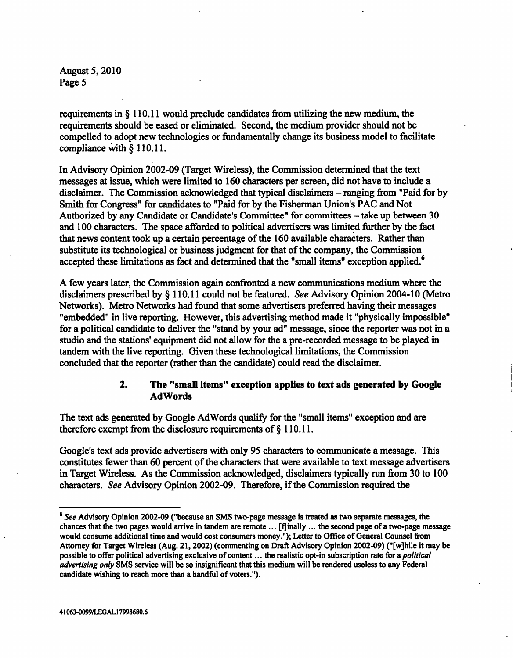requirements in § 110.11 would preclude candidates from utilizing the new medium, the requirements should be eased or eliminated. Second, the medium provider should not be compelled to adopt new technologies or fundamentally change its business model to facilitate compliance with § 110.11.

In Advisory Opinion 2002-09 (Target Wireless), the Commission determined that the text messages at issue, which were limited to 160 characters per screen, did not have to include a disclaimer. The Commission acknowledged that typical disclaimers – ranging from "Paid for by Smith for Congress" for candidates to "Paid for by the Fisherman Union's PAC and Not Authorized by any Candidate or Candidate's Committee" for committees - take up between 30 and 100 characters. The space afforded to political advertisers was limited further by the fact that news content took up a certain percentage of the 160 available characters. Rather than substitute its technological or business judgment for that of the company, the Commission accepted these limitations as fact and determined that the "small items" exception applied.<sup>6</sup>

A few years later, the Commission again confronted a new communications medium where the disclaimers prescribed by § 110.11 could not be featured. See Advisory Opinion 2004-10 (Metro Networks). Metro Networks had found that some advertisers preferred having their messages "embedded" in live reporting. However, this advertising method made it "physically impossible" for a political candidate to deliver the "stand by your ad" message, since the reporter was not in a studio and the stations' equipment did not allow for the a pre-recorded message to be played in tandem with the live reporting. Given these technological limitations, the Commission concluded that the reporter (rather than the candidate) could read the disclaimer.

## 2. The "small items" exception applies to text ads generated by Google AdWords

The text ads generated by Google AdWords qualify for the "small items" exception and are therefore exempt from the disclosure requirements of § 110.11.

Google's text ads provide advertisers with only 95 characters to communicate a message. This constitutes fewer than 60 percent of the characters that were available to text message advertisers in Target Wireless. As the Commission acknowledged, disclaimers typically run from 30 to 100 characters. See Advisory Opinion 2002-09. Therefore, if the Commission required the

<sup>&</sup>lt;sup>6</sup> See Advisory Opinion 2002-09 ("because an SMS two-page message is treated as two separate messages, the chances that the two pages would arrive in tandem are remote ... [fjinally ... the second page of a two-page message would consume additional time and would cost consumers money."); Letter to Office of General Counsel from Attorney for Target Wireless (Aug. 21,2002) (commenting on Draft Advisory Opinion 2002-09) ("[w]hile it may be possible to offer political advertising exclusive of content ... the realistic opt-in subscription rate for a *political* advertising only SMS service will be so insignificant that this medium will be rendered useless to any Federal candidate wishing to reach more than a handful of voters.").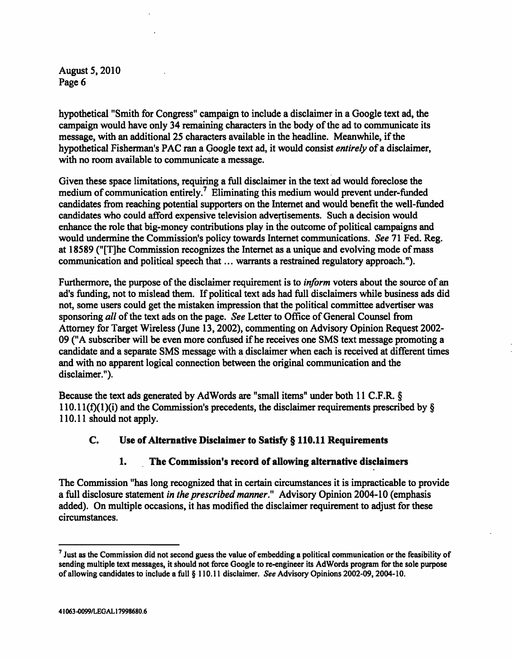hypothetical "Smith for Congress" campaign to include a disclaimer in a Google text ad, the campaign would have only 34 remaining characters in the body of the ad to communicate its message, with an additional 25 characters available in the headline. Meanwhile, if the hypothetical Fisherman's PAC ran a Google text ad, it would consist entirely of a disclaimer, with no room available to communicate a message.

Given these space limitations, requiring a full disclaimer in the text ad would foreclose the medium of communication entirely.<sup>7</sup> Eliminating this medium would prevent under-funded candidates from reaching potential supporters on the Internet and would benefit the well-funded candidates who could afford expensive television advertisements. Such a decision would enhance the role that big-money contributions play in the outcome of political campaigns and would undermine the Commission's policy towards Internet communications. See 71 Fed. Reg. at 18589 ("[T]he Commission recognizes the Internet as a unique and evolving mode of mass communication and political speech that... warrants a restrained regulatory approach.").

Furthermore, the purpose of the disclaimer requirement is to inform voters about the source of an ad's funding, not to mislead them. If political text ads had full disclaimers while business ads did not, some users could get the mistaken impression that the political committee advertiser was sponsoring all of the text ads on the page. See Letter to Office of General Counsel from Attorney for Target Wireless (June 13,2002), commenting on Advisory Opinion Request 2002- 09 ("A subscriber will be even more confused if he receives one SMS text message promoting a candidate and a separate SMS message with a disclaimer when each is received at different times and with no apparent logical connection between the original communication and the disclaimer.").

Because the text ads generated by AdWords are "small items" under both 11 C.F.R. § 110.11(f)(1)(i) and the Commission's precedents, the disclaimer requirements prescribed by  $\S$ 110.11 should not apply.

# C. Use of Alternative Disclaimer to Satisfy § 110.11 Requirements

## 1. The Commission's record of allowing alternative disclaimers

The Commission "has long recognized that in certain circumstances it is impracticable to provide a full disclosure statement in the prescribed manner." Advisory Opinion 2004-10 (emphasis added). On multiple occasions, it has modified the disclaimer requirement to adjust for these circumstances.

 $<sup>7</sup>$  Just as the Commission did not second guess the value of embedding a political communication or the feasibility of</sup> sending multiple text messages, it should not force Google to re-engineer its AdWords program for the sole purpose of allowing candidates to include a full § 110.11 disclaimer. See Advisory Opinions 2002-09,2004-10.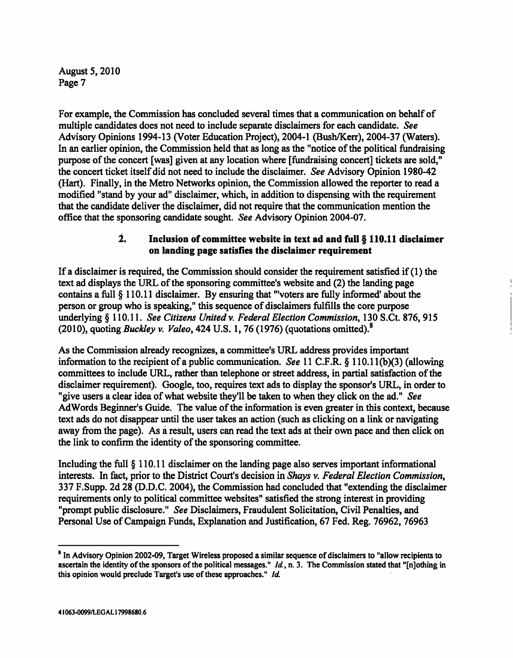For example, the Commission has concluded several times that a communication on behalf of multiple candidates does not need to include separate disclaimers for each candidate. See Advisory Opinions 1994-13 (Voter Education Project), 2004-1 (Bush/Kerr), 2004-37 (Waters). In an earlier opinion, the Commission held that as long as the "notice of the political fundraising purpose of the concert [was] given at any location where [fundraising concert] tickets are sold," the concert ticket itself did not need to include the disclaimer. See Advisory Opinion 1980-42 (Hart). Finally, in the Metro Networks opinion, the Commission allowed the reporter to read a modified "stand by your ad" disclaimer, which, in addition to dispensing with the requirement that the candidate deliver the disclaimer, did not require that the communication mention the office that the sponsoring candidate sought. See Advisory Opinion 2004-07.

### 2. Inclusion of committee website in text ad and full § 110.11 disclaimer on landing page satisfies the disclaimer requirement

If a disclaimer is required, the Commission should consider the requirement satisfied if (1) the text ad displays the URL of the sponsoring committee's website and (2) the landing page contains a full § 110.11 disclaimer. By ensuring that "Voters are fully informed' about the person or group who is speaking," this sequence of disclaimers fulfills the core purpose underlying § 110.11. See Citizens United v. Federal Election Commission, 130 S.Ct. 876, 915 (2010), quoting *Buckley v. Valeo*, 424 U.S. 1, 76 (1976) (quotations omitted).<sup>8</sup>

As the Commission already recognizes, a committee's URL address provides important information to the recipient of a public communication. See 11 C.F.R. § 110.1 l(b)(3) (allowing committees to include URL, rather than telephone or street address, in partial satisfaction of the disclaimer requirement). Google, too, requires text ads to display the sponsor's URL, in order to "give users a clear idea of what website they'll be taken to when they click on the ad." See AdWords Beginner's Guide. The value of the information is even greater in this context, because text ads do not disappear until the user takes an action (such as clicking on a link or navigating away from the page). As a result, users can read the text ads at their own pace and then click on the link to confirm the identity of the sponsoring committee.

Including the full § 110.11 disclaimer on the landing page also serves important informational interests. In fact, prior to the District Court's decision in Shays v. Federal Election Commission, 337 F.Supp. 2d 28 (D.D.C. 2004), the Commission had concluded that "extending the disclaimer requirements only to political committee websites" satisfied the strong interest in providing "prompt public disclosure." See Disclaimers, Fraudulent Solicitation, Civil Penalties, and Personal Use of Campaign Funds, Explanation and Justification, 67 Fed. Reg. 76962, 76963

<sup>&</sup>lt;sup>8</sup> In Advisory Opinion 2002-09, Target Wireless proposed a similar sequence of disclaimers to "allow recipients to ascertain the identity of the sponsors of the political messages."  $Id$ , n. 3. The Commission stated that "[n]othing in this opinion would preclude Target's use of these approaches." Id.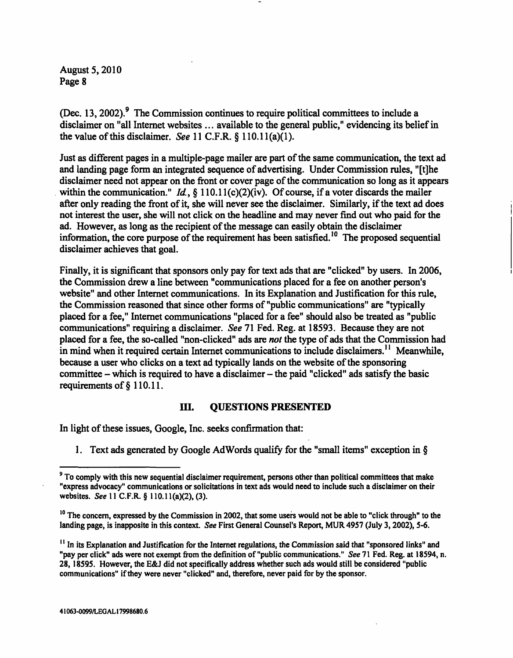(Dec. 13, 2002). $9$  The Commission continues to require political committees to include a disclaimer on "all Internet websites ... available to the general public," evidencing its belief in the value of this disclaimer. See 11 C.F.R.  $\S$  110.11(a)(1).

Just as different pages in a multiple-page mailer are part of the same communication, the text ad and landing page form an integrated sequence of advertising. Under Commission rules, "[t]he disclaimer need not appear on the front or cover page of the communication so long as it appears within the communication." Id.,  $\S$  110.11(c)(2)(iv). Of course, if a voter discards the mailer after only reading the front of it, she will never see the disclaimer. Similarly, if the text ad does not interest the user, she will not click on the headline and may never find out who paid for the ad. However, as long as the recipient of the message can easily obtain the disclaimer information, the core purpose of the requirement has been satisfied.<sup>10</sup> The proposed sequential disclaimer achieves that goal.

Finally, it is significant that sponsors only pay for text ads that are "clicked" by users. In 2006, the Commission drew a line between "communications placed for a fee on another person's website" and other Internet communications. In its Explanation and Justification for this rule, the Commission reasoned that since other forms of "public communications" are "typically placed for a fee," Internet communications "placed for a fee" should also be treated as "public communications" requiring a disclaimer. See 71 Fed. Reg. at 18593. Because they are not placed for a fee, the so-called "non-clicked" ads are not the type of ads that the Commission had in mind when it required certain Internet communications to include disclaimers.<sup>11</sup> Meanwhile, because a user who clicks on a text ad typically lands on the website of the sponsoring committee  $-$  which is required to have a disclaimer  $-$  the paid "clicked" ads satisfy the basic requirements of § 110.11.

#### III. QUESTIONS PRESENTED

In light of these issues, Google, Inc. seeks confirmation that:

1. Text ads generated by Google AdWords qualify for the "small items" exception in §

<sup>&</sup>lt;sup>9</sup> To comply with this new sequential disclaimer requirement, persons other than political committees that make "express advocacy" communications or solicitations in text ads would need to include such a disclaimer on their websites. See 11 C.F.R. § 110.11(a)(2), (3).

<sup>&</sup>lt;sup>10</sup> The concern, expressed by the Commission in 2002, that some users would not be able to "click through" to the landing page, is inapposite in this context. See First General Counsel's Report, MUR 4957 (July 3, 2002), 5-6.

<sup>&</sup>lt;sup>11</sup> In its Explanation and Justification for the Internet regulations, the Commission said that "sponsored links" and "pay per click" ads were not exempt from the definition of "public communications." See 71 Fed. Reg. at 18594, n. 28,18595. However, the E&J did not specifically address whether such ads would still be considered "public communications" if they were never "clicked" and, therefore, never paid for by the sponsor.